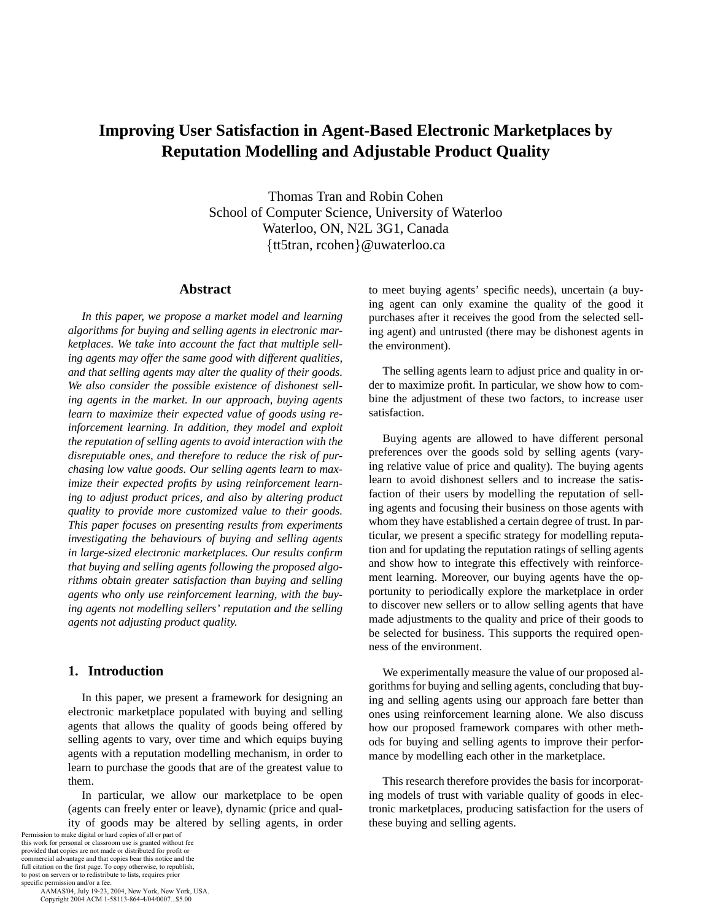# **Improving User Satisfaction in Agent-Based Electronic Marketplaces by Reputation Modelling and Adjustable Product Quality**

Thomas Tran and Robin Cohen School of Computer Science, University of Waterloo Waterloo, ON, N2L 3G1, Canada {tt5tran, rcohen}@uwaterloo.ca

## **Abstract**

*In this paper, we propose a market model and learning algorithms for buying and selling agents in electronic marketplaces. We take into account the fact that multiple selling agents may offer the same good with different qualities, and that selling agents may alter the quality of their goods. We also consider the possible existence of dishonest selling agents in the market. In our approach, buying agents learn to maximize their expected value of goods using reinforcement learning. In addition, they model and exploit the reputation of selling agents to avoid interaction with the disreputable ones, and therefore to reduce the risk of purchasing low value goods. Our selling agents learn to maximize their expected profits by using reinforcement learning to adjust product prices, and also by altering product quality to provide more customized value to their goods. This paper focuses on presenting results from experiments investigating the behaviours of buying and selling agents in large-sized electronic marketplaces. Our results confirm that buying and selling agents following the proposed algorithms obtain greater satisfaction than buying and selling agents who only use reinforcement learning, with the buying agents not modelling sellers' reputation and the selling agents not adjusting product quality.*

# **1. Introduction**

In this paper, we present a framework for designing an electronic marketplace populated with buying and selling agents that allows the quality of goods being offered by selling agents to vary, over time and which equips buying agents with a reputation modelling mechanism, in order to learn to purchase the goods that are of the greatest value to them.

In particular, we allow our marketplace to be open (agents can freely enter or leave), dynamic (price and quality of goods may be altered by selling agents, in order

Permission to make digital or hard copies of all or part of this work for personal or classroom use is granted without fee provided that copies are not made or distributed for profit or commercial advantage and that copies bear this notice and the full citation on the first page. To copy otherwise, to republish, to post on servers or to redistribute to lists, requires prior specific permission and/or a fee.

 AAMAS'04, July 19-23, 2004, New York, New York, USA. Copyright 2004 ACM 1-58113-864-4/04/0007...\$5.00

to meet buying agents' specific needs), uncertain (a buying agent can only examine the quality of the good it purchases after it receives the good from the selected selling agent) and untrusted (there may be dishonest agents in the environment).

The selling agents learn to adjust price and quality in order to maximize profit. In particular, we show how to combine the adjustment of these two factors, to increase user satisfaction.

Buying agents are allowed to have different personal preferences over the goods sold by selling agents (varying relative value of price and quality). The buying agents learn to avoid dishonest sellers and to increase the satisfaction of their users by modelling the reputation of selling agents and focusing their business on those agents with whom they have established a certain degree of trust. In particular, we present a specific strategy for modelling reputation and for updating the reputation ratings of selling agents and show how to integrate this effectively with reinforcement learning. Moreover, our buying agents have the opportunity to periodically explore the marketplace in order to discover new sellers or to allow selling agents that have made adjustments to the quality and price of their goods to be selected for business. This supports the required openness of the environment.

We experimentally measure the value of our proposed algorithms for buying and selling agents, concluding that buying and selling agents using our approach fare better than ones using reinforcement learning alone. We also discuss how our proposed framework compares with other methods for buying and selling agents to improve their performance by modelling each other in the marketplace.

This research therefore provides the basis for incorporating models of trust with variable quality of goods in electronic marketplaces, producing satisfaction for the users of these buying and selling agents.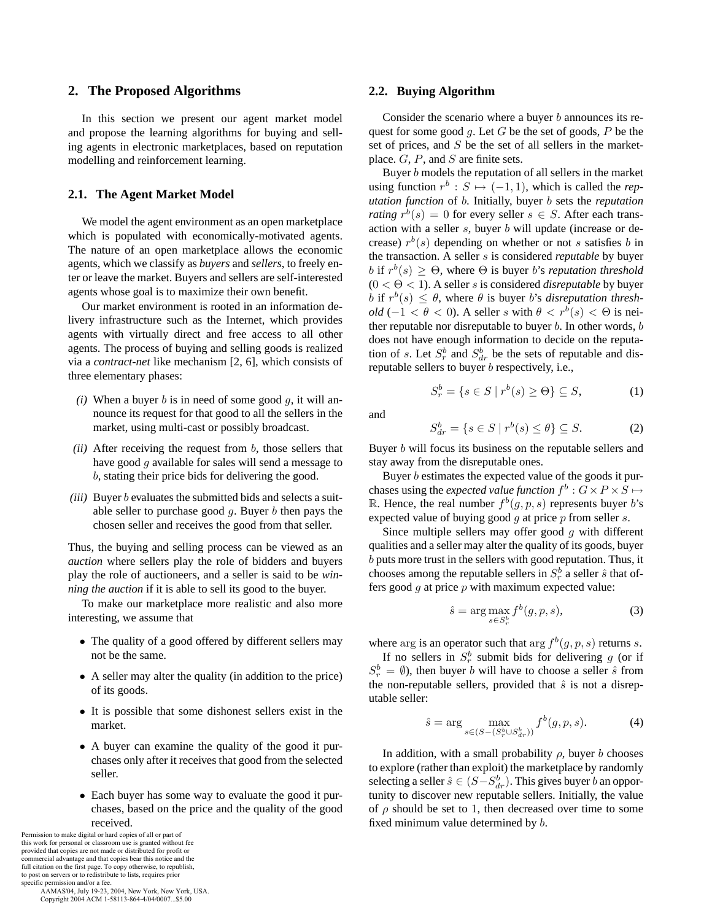#### **2. The Proposed Algorithms**

In this section we present our agent market model and propose the learning algorithms for buying and selling agents in electronic marketplaces, based on reputation modelling and reinforcement learning.

### **2.1. The Agent Market Model**

We model the agent environment as an open marketplace which is populated with economically-motivated agents. The nature of an open marketplace allows the economic agents, which we classify as *buyers* and *sellers*, to freely enter or leave the market. Buyers and sellers are self-interested agents whose goal is to maximize their own benefit.

Our market environment is rooted in an information delivery infrastructure such as the Internet, which provides agents with virtually direct and free access to all other agents. The process of buying and selling goods is realized via a *contract-net* like mechanism [2, 6], which consists of three elementary phases:

- *(i)* When a buyer  $b$  is in need of some good  $g$ , it will announce its request for that good to all the sellers in the market, using multi-cast or possibly broadcast.
- *(ii)* After receiving the request from *b*, those sellers that have good g available for sales will send a message to b, stating their price bids for delivering the good.
- *(iii)* Buyer *b* evaluates the submitted bids and selects a suitable seller to purchase good  $g$ . Buyer  $b$  then pays the chosen seller and receives the good from that seller.

Thus, the buying and selling process can be viewed as an *auction* where sellers play the role of bidders and buyers play the role of auctioneers, and a seller is said to be *winning the auction* if it is able to sell its good to the buyer.

To make our marketplace more realistic and also more interesting, we assume that

- The quality of a good offered by different sellers may not be the same.
- A seller may alter the quality (in addition to the price) of its goods.
- It is possible that some dishonest sellers exist in the market.
- A buyer can examine the quality of the good it purchases only after it receives that good from the selected seller.
- Each buyer has some way to evaluate the good it purchases, based on the price and the quality of the good received.

Permission to make digital or hard copies of all or part of this work for personal or classroom use is granted without fee provided that copies are not made or distributed for profit or commercial advantage and that copies bear this notice and the full citation on the first page. To copy otherwise, to republish, to post on servers or to redistribute to lists, requires prior specific permission and/or a fee.

 AAMAS'04, July 19-23, 2004, New York, New York, USA. Copyright 2004 ACM 1-58113-864-4/04/0007...\$5.00

#### **2.2. Buying Algorithm**

Consider the scenario where a buyer  $b$  announces its request for some good q. Let  $G$  be the set of goods,  $P$  be the set of prices, and  $S$  be the set of all sellers in the marketplace.  $G$ ,  $P$ , and  $S$  are finite sets.

Buyer b models the reputation of all sellers in the market using function  $r^b : S \mapsto (-1, 1)$ , which is called the *reputation function* of b. Initially, buyer b sets the *reputation rating*  $r^b(s) = 0$  for every seller  $s \in S$ . After each transaction with a seller  $s$ , buyer  $b$  will update (increase or decrease)  $r^{b}(s)$  depending on whether or not s satisfies b in the transaction. A seller s is considered *reputable* by buyer b if  $r^b(s) > \Theta$ , where  $\Theta$  is buyer b's *reputation threshold*  $(0 < \Theta < 1)$ . A seller *s* is considered *disreputable* by buyer b if  $r^b(s) \leq \theta$ , where  $\theta$  is buyer b's *disreputation threshold* (−1 <  $\theta$  < 0). A seller s with  $\theta$  <  $r^b(s)$  <  $\Theta$  is neither reputable nor disreputable to buyer  $b$ . In other words,  $b$ does not have enough information to decide on the reputation of s. Let  $S_r^b$  and  $S_{dr}^b$  be the sets of reputable and disreputable sellers to buyer b respectively, i.e.,

$$
S_r^b = \{ s \in S \mid r^b(s) \ge \Theta \} \subseteq S,\tag{1}
$$

and

Sb

$$
S_{dr}^b = \{ s \in S \mid r^b(s) \le \theta \} \subseteq S. \tag{2}
$$

Buyer b will focus its business on the reputable sellers and stay away from the disreputable ones.

Buyer b estimates the expected value of the goods it purchases using the *expected value function*  $f^b : G \times P \times S \mapsto$ R. Hence, the real number  $f^b(g, p, s)$  represents buyer b's expected value of buying good  $g$  at price  $p$  from seller  $s$ .

Since multiple sellers may offer good  $g$  with different qualities and a seller may alter the quality of its goods, buyer b puts more trust in the sellers with good reputation. Thus, it chooses among the reputable sellers in  $S_r^b$  a seller  $\hat{s}$  that offers good  $g$  at price  $p$  with maximum expected value:

$$
\hat{s} = \arg \max_{s \in S_r^b} f^b(g, p, s), \tag{3}
$$

where arg is an operator such that arg  $f^b(g, p, s)$  returns s.

If no sellers in  $S_r^b$  submit bids for delivering g (or if  $S_r^b = \emptyset$ ), then buyer *b* will have to choose a seller  $\hat{s}$  from the non-reputable sellers, provided that  $\hat{s}$  is not a disreputable seller:

$$
\hat{s} = \arg \max_{s \in (S - (S_r^b \cup S_{dr}^b))} f^b(g, p, s).
$$
 (4)

In addition, with a small probability  $\rho$ , buyer b chooses to explore (rather than exploit) the marketplace by randomly selecting a seller  $\hat{s} \in (S - S_{dr}^b)$ . This gives buyer b an opportunity to discover new reputable sellers. Initially, the value of  $\rho$  should be set to 1, then decreased over time to some fixed minimum value determined by b.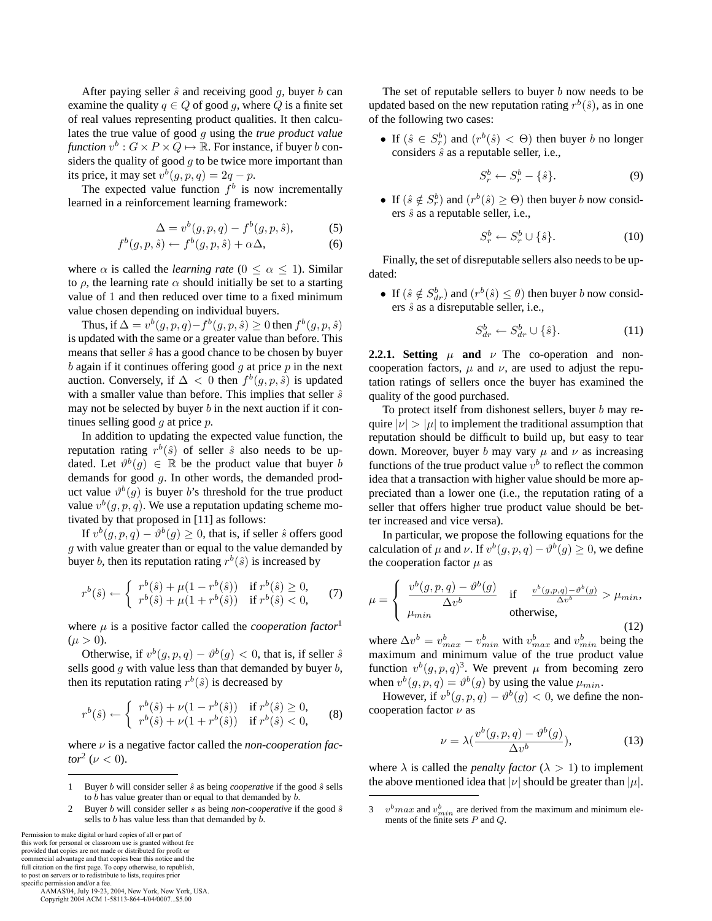After paying seller  $\hat{s}$  and receiving good q, buyer b can examine the quality  $q \in Q$  of good g, where Q is a finite set of real values representing product qualities. It then calculates the true value of good g using the *true product value function*  $v^b$  :  $G \times P \times Q \mapsto \mathbb{R}$ . For instance, if buyer b considers the quality of good  $g$  to be twice more important than its price, it may set  $v^b(g, p, q) = 2q - p$ .

The expected value function  $f^b$  is now incrementally learned in a reinforcement learning framework:

$$
\Delta = v^b(g, p, q) - f^b(g, p, \hat{s}),\tag{5}
$$

$$
f^{b}(g, p, \hat{s}) \leftarrow f^{b}(g, p, \hat{s}) + \alpha \Delta, \tag{6}
$$

where  $\alpha$  is called the *learning rate*  $(0 \le \alpha \le 1)$ . Similar to  $\rho$ , the learning rate  $\alpha$  should initially be set to a starting value of 1 and then reduced over time to a fixed minimum value chosen depending on individual buyers.

Thus, if  $\Delta = v^b(g, p, q) - f^b(g, p, \hat{s}) \ge 0$  then  $f^b(g, p, \hat{s})$ is updated with the same or a greater value than before. This means that seller  $\hat{s}$  has a good chance to be chosen by buyer  $b$  again if it continues offering good  $g$  at price  $p$  in the next auction. Conversely, if  $\Delta < 0$  then  $f^b(g, p, \hat{s})$  is updated with a smaller value than before. This implies that seller  $\hat{s}$ may not be selected by buyer  $b$  in the next auction if it continues selling good  $q$  at price  $p$ .

In addition to updating the expected value function, the reputation rating  $r^b(\hat{s})$  of seller  $\hat{s}$  also needs to be updated. Let  $\vartheta^b(q) \in \mathbb{R}$  be the product value that buyer b demands for good g. In other words, the demanded product value  $\vartheta^b(g)$  is buyer b's threshold for the true product value  $v^b(g, p, q)$ . We use a reputation updating scheme motivated by that proposed in [11] as follows:

If  $v^b(q, p, q) - \vartheta^b(q) \geq 0$ , that is, if seller  $\hat{s}$  offers good g with value greater than or equal to the value demanded by buyer b, then its reputation rating  $r^b(\hat{s})$  is increased by

$$
r^{b}(\hat{s}) \leftarrow \begin{cases} r^{b}(\hat{s}) + \mu(1 - r^{b}(\hat{s})) & \text{if } r^{b}(\hat{s}) \ge 0, \\ r^{b}(\hat{s}) + \mu(1 + r^{b}(\hat{s})) & \text{if } r^{b}(\hat{s}) < 0, \end{cases}
$$
(7)

where  $\mu$  is a positive factor called the *cooperation factor*<sup>1</sup>  $(\mu > 0).$ 

Otherwise, if  $v^b(g, p, q) - \vartheta^b(g) < 0$ , that is, if seller  $\hat{s}$ sells good  $q$  with value less than that demanded by buyer  $b$ , then its reputation rating  $r^b(\hat{s})$  is decreased by

$$
r^{b}(\hat{s}) \leftarrow \begin{cases} r^{b}(\hat{s}) + \nu(1 - r^{b}(\hat{s})) & \text{if } r^{b}(\hat{s}) \ge 0, \\ r^{b}(\hat{s}) + \nu(1 + r^{b}(\hat{s})) & \text{if } r^{b}(\hat{s}) < 0, \end{cases}
$$
 (8)

where ν is a negative factor called the *non-cooperation factor*<sup>2</sup> ( $\nu$  < 0).

Permission to make digital or hard copies of all or part of this work for personal or classroom use is granted without fee provided that copies are not made or distributed for profit or commercial advantage and that copies bear this notice and the full citation on the first page. To copy otherwise, to republish, to post on servers or to redistribute to lists, requires prior specific permission and/or a fee.

 AAMAS'04, July 19-23, 2004, New York, New York, USA. Copyright 2004 ACM 1-58113-864-4/04/0007...\$5.00

The set of reputable sellers to buyer  $b$  now needs to be updated based on the new reputation rating  $r^b(\hat{s})$ , as in one of the following two cases:

• If  $(\hat{s} \in S_r^b)$  and  $(r^b(\hat{s}) < \Theta)$  then buyer b no longer considers  $\hat{s}$  as a reputable seller, i.e.,

$$
S_r^b \leftarrow S_r^b - \{\hat{s}\}.\tag{9}
$$

• If  $(\hat{s} \notin S_r^b)$  and  $(r^b(\hat{s}) \ge \Theta)$  then buyer b now considers  $\hat{s}$  as a reputable seller, i.e.,

$$
S_r^b \leftarrow S_r^b \cup \{\hat{s}\}.\tag{10}
$$

Finally, the set of disreputable sellers also needs to be updated:

• If  $(\hat{s} \notin S_{dr}^b)$  and  $(r^b(\hat{s}) \leq \theta)$  then buyer b now considers  $\hat{s}$  as a disreputable seller, i.e.,

$$
S_{dr}^b \leftarrow S_{dr}^b \cup \{\hat{s}\}.\tag{11}
$$

**2.2.1. Setting**  $\mu$  **and**  $\nu$  The co-operation and noncooperation factors,  $\mu$  and  $\nu$ , are used to adjust the reputation ratings of sellers once the buyer has examined the quality of the good purchased.

To protect itself from dishonest sellers, buyer  $b$  may require  $|\nu| > |\mu|$  to implement the traditional assumption that reputation should be difficult to build up, but easy to tear down. Moreover, buyer b may vary  $\mu$  and  $\nu$  as increasing functions of the true product value  $v^b$  to reflect the common idea that a transaction with higher value should be more appreciated than a lower one (i.e., the reputation rating of a seller that offers higher true product value should be better increased and vice versa).

In particular, we propose the following equations for the calculation of  $\mu$  and  $\nu$ . If  $v^b(g, p, q) - \vartheta^b(g) \geq 0$ , we define the cooperation factor  $\mu$  as

$$
\mu = \begin{cases} \frac{v^b(g, p, q) - v^b(g)}{\Delta v^b} & \text{if } \frac{v^b(g, p, q) - v^b(g)}{\Delta v^b} > \mu_{min}, \\ \mu_{min} & \text{otherwise,} \end{cases}
$$
(12)

where  $\Delta v^b = v_{max}^b - v_{min}^b$  with  $v_{max}^b$  and  $v_{min}^b$  being the maximum and minimum value of the true product value function  $v^b(g, p, q)^3$ . We prevent  $\mu$  from becoming zero when  $v^b(g, p, q) = \vartheta^b(g)$  by using the value  $\mu_{min}$ .

However, if  $v^b(g, p, q) - \vartheta^b(g) < 0$ , we define the noncooperation factor  $\nu$  as

$$
\nu = \lambda \left( \frac{v^b(g, p, q) - v^b(g)}{\Delta v^b} \right),\tag{13}
$$

where  $\lambda$  is called the *penalty factor* ( $\lambda > 1$ ) to implement the above mentioned idea that  $|\nu|$  should be greater than  $|\mu|$ .

<sup>1</sup> Buyer b will consider seller  $\hat{s}$  as being *cooperative* if the good  $\hat{s}$  sells to  $b$  has value greater than or equal to that demanded by  $b$ .

<sup>2</sup> Buyer *b* will consider seller *s* as being *non-cooperative* if the good  $\hat{s}$ sells to  $b$  has value less than that demanded by  $\overline{b}$ .

<sup>3</sup>  $v^b max$  and  $v^b_{min}$  are derived from the maximum and minimum elements of the finite sets P and Q.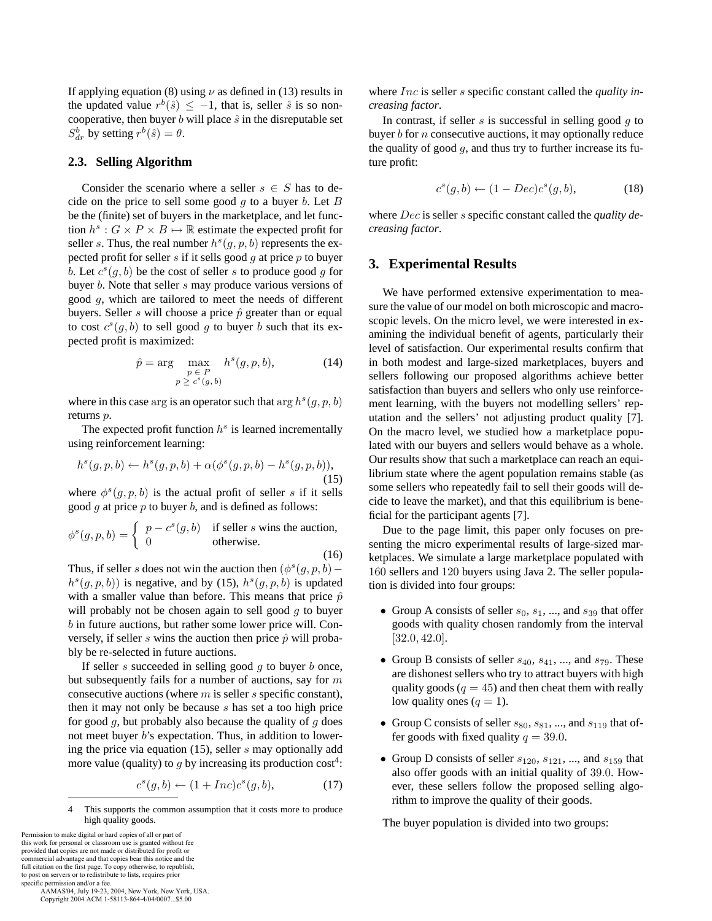If applying equation (8) using  $\nu$  as defined in (13) results in the updated value  $r^{b}(\hat{s}) \leq -1$ , that is, seller  $\hat{s}$  is so noncooperative, then buyer  $b$  will place  $\hat{s}$  in the disreputable set  $S_{dr}^{b}$  by setting  $r^{b}(\hat{s}) = \theta$ .

#### **2.3. Selling Algorithm**

Consider the scenario where a seller  $s \in S$  has to decide on the price to sell some good  $q$  to a buyer  $b$ . Let  $B$ be the (finite) set of buyers in the marketplace, and let function  $h^s: G \times P \times B \mapsto \mathbb{R}$  estimate the expected profit for seller s. Thus, the real number  $h^{s}(g, p, b)$  represents the expected profit for seller s if it sells good q at price  $p$  to buyer b. Let  $c^{s}(q, b)$  be the cost of seller s to produce good g for buyer b. Note that seller s may produce various versions of good g, which are tailored to meet the needs of different buyers. Seller s will choose a price  $\hat{p}$  greater than or equal to cost  $c^s(g, b)$  to sell good g to buyer b such that its expected profit is maximized:

$$
\hat{p} = \arg \max_{\substack{p \in P \\ p \ge c^s(g, b)}} h^s(g, p, b), \tag{14}
$$

where in this case arg is an operator such that arg  $h^{s}(g, p, b)$ returns p.

The expected profit function  $h^s$  is learned incrementally using reinforcement learning:

$$
h^{s}(g, p, b) \leftarrow h^{s}(g, p, b) + \alpha(\phi^{s}(g, p, b) - h^{s}(g, p, b)),
$$
\n(15)

where  $\phi^{s}(q, p, b)$  is the actual profit of seller s if it sells good  $q$  at price  $p$  to buyer  $b$ , and is defined as follows:

$$
\phi^s(g, p, b) = \begin{cases} p - c^s(g, b) & \text{if seller } s \text{ wins the auction,} \\ 0 & \text{otherwise.} \end{cases}
$$
 (16)

Thus, if seller s does not win the auction then  $(\phi^s(q, p, b)$  –  $h^{s}(g, p, b)$  is negative, and by (15),  $h^{s}(g, p, b)$  is updated with a smaller value than before. This means that price  $\hat{p}$ will probably not be chosen again to sell good  $q$  to buyer b in future auctions, but rather some lower price will. Conversely, if seller s wins the auction then price  $\hat{p}$  will probably be re-selected in future auctions.

If seller  $s$  succeeded in selling good  $g$  to buyer  $b$  once, but subsequently fails for a number of auctions, say for m consecutive auctions (where  $m$  is seller  $s$  specific constant), then it may not only be because s has set a too high price for good  $g$ , but probably also because the quality of  $g$  does not meet buyer b's expectation. Thus, in addition to lowering the price via equation (15), seller s may optionally add more value (quality) to g by increasing its production  $cost^4$ :

$$
c^s(g, b) \leftarrow (1 + Inc)c^s(g, b), \tag{17}
$$

4 This supports the common assumption that it costs more to produce high quality goods.

Permission to make digital or hard copies of all or part of this work for personal or classroom use is granted without fee provided that copies are not made or distributed for profit or commercial advantage and that copies bear this notice and the full citation on the first page. To copy otherwise, to republish, to post on servers or to redistribute to lists, requires prior specific permission and/or a fee.

 AAMAS'04, July 19-23, 2004, New York, New York, USA. Copyright 2004 ACM 1-58113-864-4/04/0007...\$5.00

where Inc is seller s specific constant called the *quality increasing factor*.

In contrast, if seller  $s$  is successful in selling good  $g$  to buyer  $b$  for  $n$  consecutive auctions, it may optionally reduce the quality of good  $g$ , and thus try to further increase its future profit:

$$
c^s(g, b) \leftarrow (1 - Dec)c^s(g, b), \tag{18}
$$

where Dec is seller s specific constant called the *quality decreasing factor*.

#### **3. Experimental Results**

We have performed extensive experimentation to measure the value of our model on both microscopic and macroscopic levels. On the micro level, we were interested in examining the individual benefit of agents, particularly their level of satisfaction. Our experimental results confirm that in both modest and large-sized marketplaces, buyers and sellers following our proposed algorithms achieve better satisfaction than buyers and sellers who only use reinforcement learning, with the buyers not modelling sellers' reputation and the sellers' not adjusting product quality [7]. On the macro level, we studied how a marketplace populated with our buyers and sellers would behave as a whole. Our results show that such a marketplace can reach an equilibrium state where the agent population remains stable (as some sellers who repeatedly fail to sell their goods will decide to leave the market), and that this equilibrium is beneficial for the participant agents [7].

Due to the page limit, this paper only focuses on presenting the micro experimental results of large-sized marketplaces. We simulate a large marketplace populated with 160 sellers and 120 buyers using Java 2. The seller population is divided into four groups:

- Group A consists of seller  $s_0, s_1, \dots$ , and  $s_{39}$  that offer goods with quality chosen randomly from the interval [32.0, 42.0].
- Group B consists of seller  $s_{40}$ ,  $s_{41}$ , ..., and  $s_{79}$ . These are dishonest sellers who try to attract buyers with high quality goods ( $q = 45$ ) and then cheat them with really low quality ones  $(q = 1)$ .
- Group C consists of seller  $s_{80}, s_{81}, \dots$ , and  $s_{119}$  that offer goods with fixed quality  $q = 39.0$ .
- Group D consists of seller  $s_{120}$ ,  $s_{121}$ , ..., and  $s_{159}$  that also offer goods with an initial quality of 39.0. However, these sellers follow the proposed selling algorithm to improve the quality of their goods.

The buyer population is divided into two groups: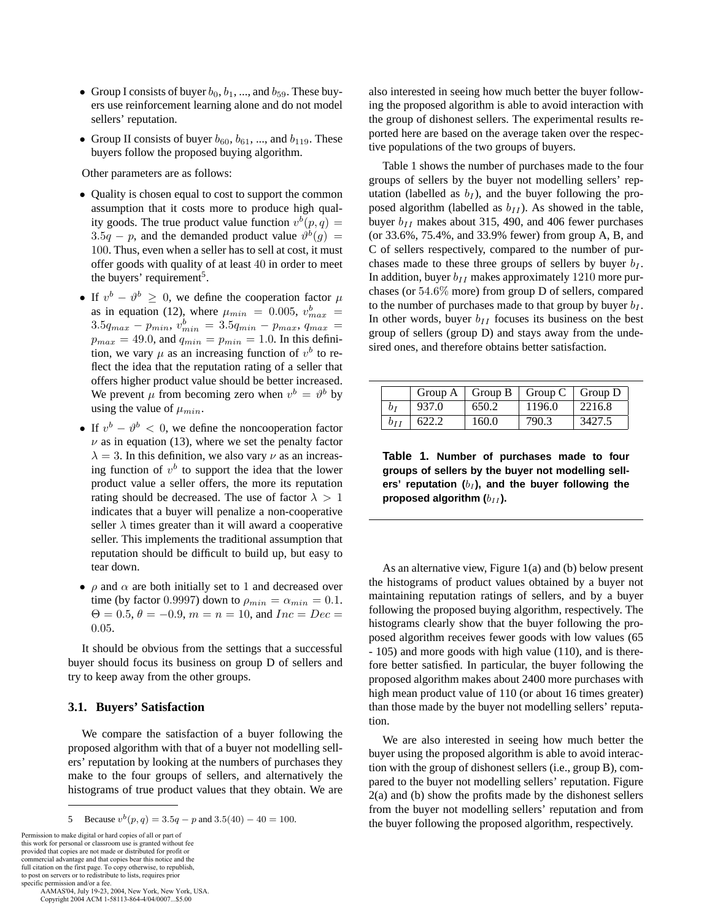- Group I consists of buyer  $b_0$ ,  $b_1$ , ..., and  $b_{59}$ . These buyers use reinforcement learning alone and do not model sellers' reputation.
- Group II consists of buyer  $b_{60}$ ,  $b_{61}$ , ..., and  $b_{119}$ . These buyers follow the proposed buying algorithm.

Other parameters are as follows:

- Quality is chosen equal to cost to support the common assumption that it costs more to produce high quality goods. The true product value function  $v^b(p, q) =$ 3.5q – p, and the demanded product value  $\vartheta^b(g)$  = 100. Thus, even when a seller has to sell at cost, it must offer goods with quality of at least 40 in order to meet the buyers' requirement<sup>5</sup>.
- If  $v^b \vartheta^b \geq 0$ , we define the cooperation factor  $\mu$ as in equation (12), where  $\mu_{min} = 0.005$ ,  $v_{max}^b =$  $3.5q_{max} - p_{min}, v_{min}^{b} = 3.5q_{min} - p_{max}, q_{max} =$  $p_{max} = 49.0$ , and  $q_{min} = p_{min} = 1.0$ . In this definition, we vary  $\mu$  as an increasing function of  $v^b$  to reflect the idea that the reputation rating of a seller that offers higher product value should be better increased. We prevent  $\mu$  from becoming zero when  $v^b = \vartheta^b$  by using the value of  $\mu_{min}$ .
- If  $v^b \vartheta^b < 0$ , we define the noncooperation factor  $\nu$  as in equation (13), where we set the penalty factor  $\lambda = 3$ . In this definition, we also vary  $\nu$  as an increasing function of  $v^b$  to support the idea that the lower product value a seller offers, the more its reputation rating should be decreased. The use of factor  $\lambda > 1$ indicates that a buyer will penalize a non-cooperative seller  $\lambda$  times greater than it will award a cooperative seller. This implements the traditional assumption that reputation should be difficult to build up, but easy to tear down.
- $\rho$  and  $\alpha$  are both initially set to 1 and decreased over time (by factor 0.9997) down to  $\rho_{min} = \alpha_{min} = 0.1$ .  $\Theta = 0.5, \theta = -0.9, m = n = 10, \text{ and } Inc = Dec =$ 0.05.

It should be obvious from the settings that a successful buyer should focus its business on group D of sellers and try to keep away from the other groups.

#### **3.1. Buyers' Satisfaction**

We compare the satisfaction of a buyer following the proposed algorithm with that of a buyer not modelling sellers' reputation by looking at the numbers of purchases they make to the four groups of sellers, and alternatively the histograms of true product values that they obtain. We are

Permission to make digital or hard copies of all or part of this work for personal or classroom use is granted without fee provided that copies are not made or distributed for profit or commercial advantage and that copies bear this notice and the full citation on the first page. To copy otherwise, to republish, to post on servers or to redistribute to lists, requires prior

specific permission and/or a fee. AAMAS'04, July 19-23, 2004, New York, New York, USA. Copyright 2004 ACM 1-58113-864-4/04/0007...\$5.00

also interested in seeing how much better the buyer following the proposed algorithm is able to avoid interaction with the group of dishonest sellers. The experimental results reported here are based on the average taken over the respective populations of the two groups of buyers.

Table 1 shows the number of purchases made to the four groups of sellers by the buyer not modelling sellers' reputation (labelled as  $b_I$ ), and the buyer following the proposed algorithm (labelled as  $b_{II}$ ). As showed in the table, buyer  $b_{II}$  makes about 315, 490, and 406 fewer purchases (or 33.6%, 75.4%, and 33.9% fewer) from group A, B, and C of sellers respectively, compared to the number of purchases made to these three groups of sellers by buyer  $b_I$ . In addition, buyer  $b_{II}$  makes approximately 1210 more purchases (or 54.6% more) from group D of sellers, compared to the number of purchases made to that group by buyer  $b_I$ . In other words, buyer  $b_{II}$  focuses its business on the best group of sellers (group D) and stays away from the undesired ones, and therefore obtains better satisfaction.

|     |       |       | Group A   Group B   Group C   Group D |        |
|-----|-------|-------|---------------------------------------|--------|
| Dт  | 937.0 | 650.2 | 1196.0                                | 2216.8 |
| bіi | 622.2 | 160.0 | 790.3                                 | 3427.5 |

**Table 1. Number of purchases made to four groups of sellers by the buyer not modelling sell**ers' reputation  $(b_I)$ , and the buyer following the proposed algorithm ( $b_{II}$ ).

As an alternative view, Figure 1(a) and (b) below present the histograms of product values obtained by a buyer not maintaining reputation ratings of sellers, and by a buyer following the proposed buying algorithm, respectively. The histograms clearly show that the buyer following the proposed algorithm receives fewer goods with low values (65 - 105) and more goods with high value (110), and is therefore better satisfied. In particular, the buyer following the proposed algorithm makes about 2400 more purchases with high mean product value of 110 (or about 16 times greater) than those made by the buyer not modelling sellers' reputation.

We are also interested in seeing how much better the buyer using the proposed algorithm is able to avoid interaction with the group of dishonest sellers (i.e., group B), compared to the buyer not modelling sellers' reputation. Figure 2(a) and (b) show the profits made by the dishonest sellers from the buyer not modelling sellers' reputation and from the buyer following the proposed algorithm, respectively.

<sup>5</sup> Because  $v^b(p, q) = 3.5q - p$  and  $3.5(40) - 40 = 100$ .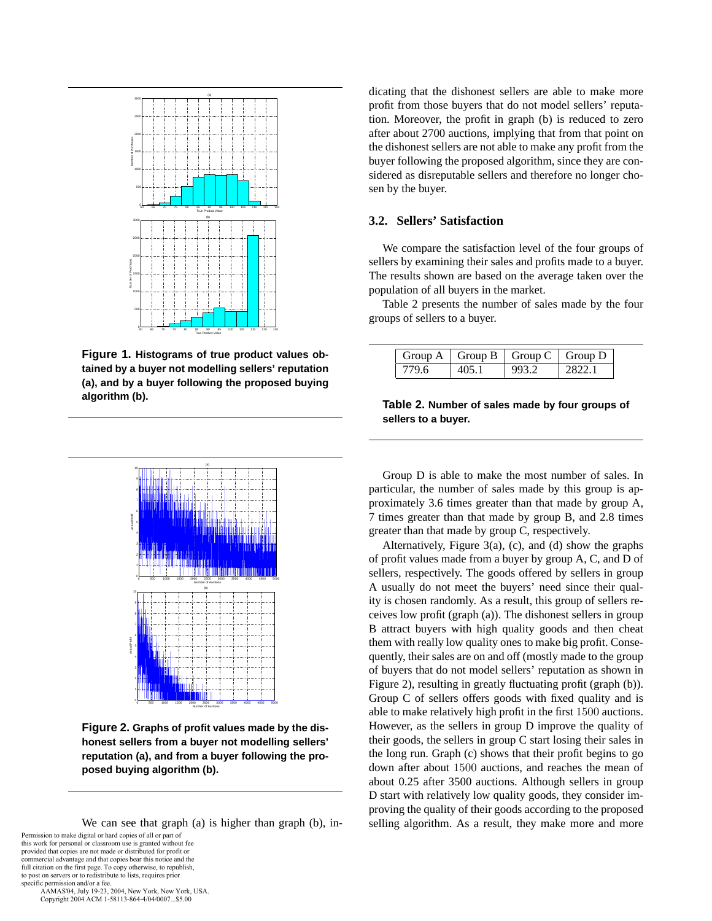

**Figure 1. Histograms of true product values obtained by a buyer not modelling sellers' reputation (a), and by a buyer following the proposed buying algorithm (b).**



**Figure 2. Graphs of profit values made by the dishonest sellers from a buyer not modelling sellers' reputation (a), and from a buyer following the proposed buying algorithm (b).**

We can see that graph (a) is higher than graph (b), in-Permission to make digital or hard copies of all or part of

this work for personal or classroom use is granted without fee provided that copies are not made or distributed for profit or commercial advantage and that copies bear this notice and the full citation on the first page. To copy otherwise, to republish, to post on servers or to redistribute to lists, requires prior specific permission and/or a fee.

 AAMAS'04, July 19-23, 2004, New York, New York, USA. Copyright 2004 ACM 1-58113-864-4/04/0007...\$5.00

dicating that the dishonest sellers are able to make more profit from those buyers that do not model sellers' reputation. Moreover, the profit in graph (b) is reduced to zero after about 2700 auctions, implying that from that point on the dishonest sellers are not able to make any profit from the buyer following the proposed algorithm, since they are considered as disreputable sellers and therefore no longer chosen by the buyer.

## **3.2. Sellers' Satisfaction**

We compare the satisfaction level of the four groups of sellers by examining their sales and profits made to a buyer. The results shown are based on the average taken over the population of all buyers in the market.

Table 2 presents the number of sales made by the four groups of sellers to a buyer.

|       |       | Group A   Group B   Group C   Group D |        |
|-------|-------|---------------------------------------|--------|
| 779.6 | 405.1 | 993.2                                 | 2822 L |

#### **Table 2. Number of sales made by four groups of sellers to a buyer.**

Group D is able to make the most number of sales. In particular, the number of sales made by this group is approximately 3.6 times greater than that made by group A, 7 times greater than that made by group B, and 2.8 times greater than that made by group C, respectively.

Alternatively, Figure 3(a), (c), and (d) show the graphs of profit values made from a buyer by group A, C, and D of sellers, respectively. The goods offered by sellers in group A usually do not meet the buyers' need since their quality is chosen randomly. As a result, this group of sellers receives low profit (graph (a)). The dishonest sellers in group B attract buyers with high quality goods and then cheat them with really low quality ones to make big profit. Consequently, their sales are on and off (mostly made to the group of buyers that do not model sellers' reputation as shown in Figure 2), resulting in greatly fluctuating profit (graph (b)). Group C of sellers offers goods with fixed quality and is able to make relatively high profit in the first 1500 auctions. However, as the sellers in group D improve the quality of their goods, the sellers in group C start losing their sales in the long run. Graph (c) shows that their profit begins to go down after about 1500 auctions, and reaches the mean of about 0.25 after 3500 auctions. Although sellers in group D start with relatively low quality goods, they consider improving the quality of their goods according to the proposed selling algorithm. As a result, they make more and more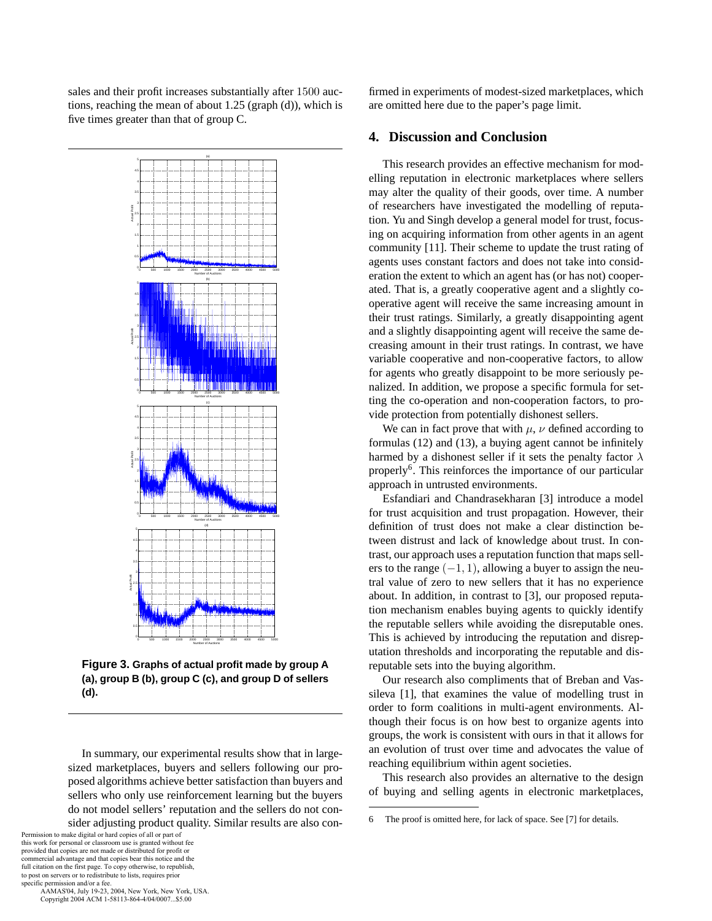sales and their profit increases substantially after 1500 auctions, reaching the mean of about 1.25 (graph (d)), which is five times greater than that of group C.



**Figure 3. Graphs of actual profit made by group A (a), group B (b), group C (c), and group D of sellers (d).**

In summary, our experimental results show that in largesized marketplaces, buyers and sellers following our proposed algorithms achieve better satisfaction than buyers and sellers who only use reinforcement learning but the buyers do not model sellers' reputation and the sellers do not consider adjusting product quality. Similar results are also con-

Permission to make digital or hard copies of all or part of this work for personal or classroom use is granted without fee provided that copies are not made or distributed for profit or commercial advantage and that copies bear this notice and the full citation on the first page. To copy otherwise, to republish, to post on servers or to redistribute to lists, requires prior specific permission and/or a fee.

 AAMAS'04, July 19-23, 2004, New York, New York, USA. Copyright 2004 ACM 1-58113-864-4/04/0007...\$5.00

firmed in experiments of modest-sized marketplaces, which are omitted here due to the paper's page limit.

# **4. Discussion and Conclusion**

This research provides an effective mechanism for modelling reputation in electronic marketplaces where sellers may alter the quality of their goods, over time. A number of researchers have investigated the modelling of reputation. Yu and Singh develop a general model for trust, focusing on acquiring information from other agents in an agent community [11]. Their scheme to update the trust rating of agents uses constant factors and does not take into consideration the extent to which an agent has (or has not) cooperated. That is, a greatly cooperative agent and a slightly cooperative agent will receive the same increasing amount in their trust ratings. Similarly, a greatly disappointing agent and a slightly disappointing agent will receive the same decreasing amount in their trust ratings. In contrast, we have variable cooperative and non-cooperative factors, to allow for agents who greatly disappoint to be more seriously penalized. In addition, we propose a specific formula for setting the co-operation and non-cooperation factors, to provide protection from potentially dishonest sellers.

We can in fact prove that with  $\mu$ ,  $\nu$  defined according to formulas (12) and (13), a buying agent cannot be infinitely harmed by a dishonest seller if it sets the penalty factor  $\lambda$ properly<sup>6</sup>. This reinforces the importance of our particular approach in untrusted environments.

Esfandiari and Chandrasekharan [3] introduce a model for trust acquisition and trust propagation. However, their definition of trust does not make a clear distinction between distrust and lack of knowledge about trust. In contrast, our approach uses a reputation function that maps sellers to the range  $(-1, 1)$ , allowing a buyer to assign the neutral value of zero to new sellers that it has no experience about. In addition, in contrast to [3], our proposed reputation mechanism enables buying agents to quickly identify the reputable sellers while avoiding the disreputable ones. This is achieved by introducing the reputation and disreputation thresholds and incorporating the reputable and disreputable sets into the buying algorithm.

Our research also compliments that of Breban and Vassileva [1], that examines the value of modelling trust in order to form coalitions in multi-agent environments. Although their focus is on how best to organize agents into groups, the work is consistent with ours in that it allows for an evolution of trust over time and advocates the value of reaching equilibrium within agent societies.

This research also provides an alternative to the design of buying and selling agents in electronic marketplaces,

<sup>6</sup> The proof is omitted here, for lack of space. See [7] for details.